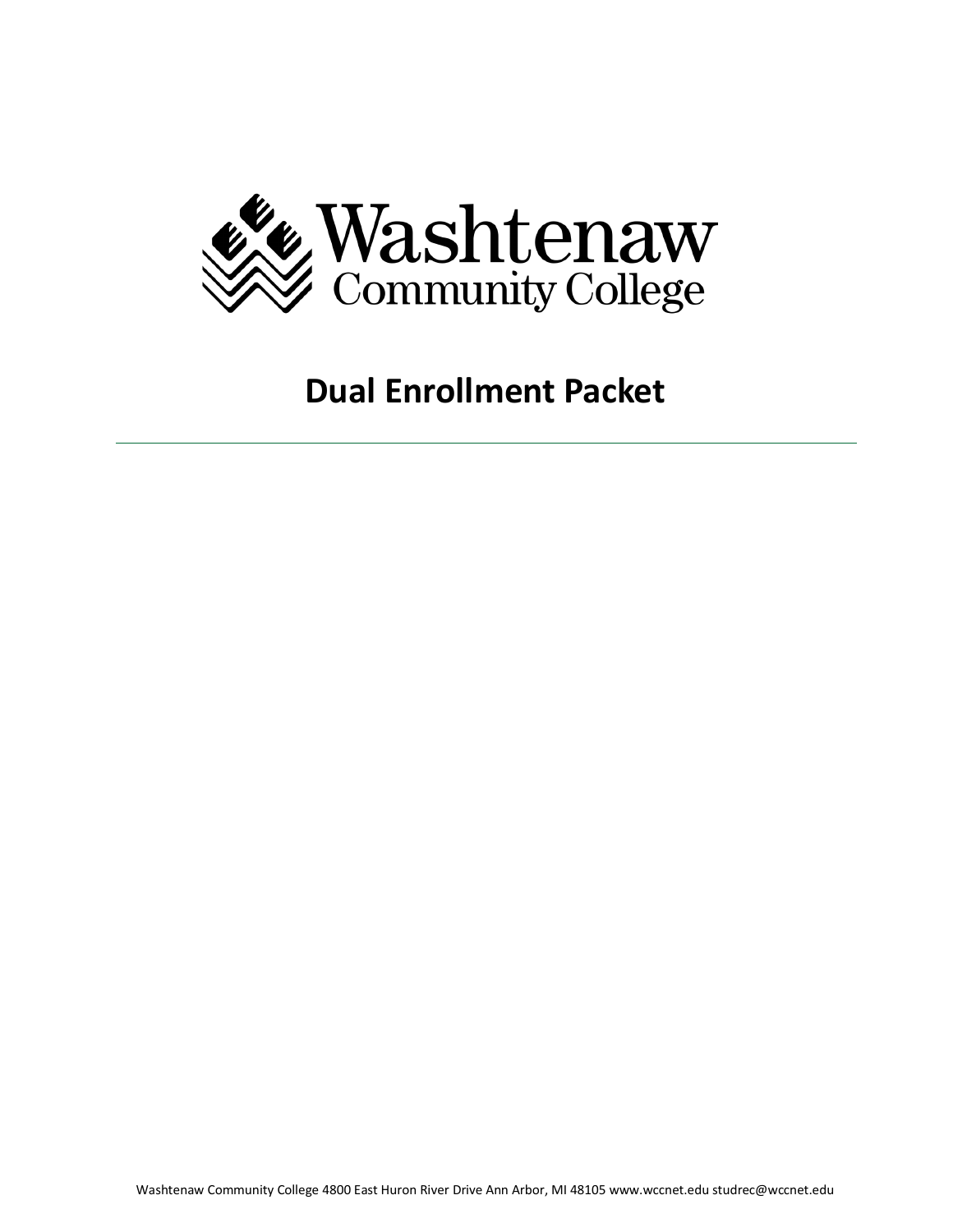

# **Dual Enrollment Packet**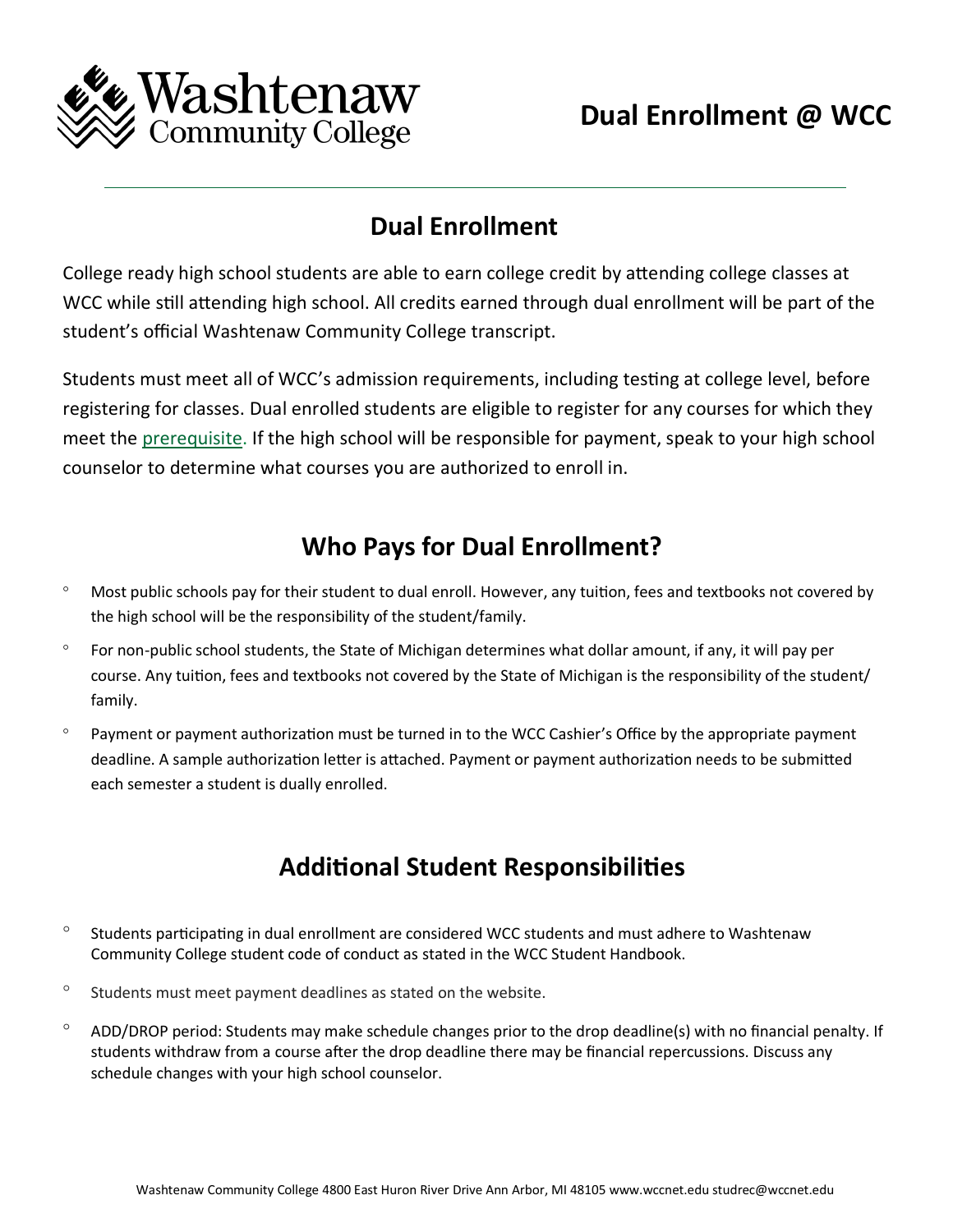

## **Dual Enrollment**

College ready high school students are able to earn college credit by attending college classes at WCC while still attending high school. All credits earned through dual enrollment will be part of the student's official Washtenaw Community College transcript.

Students must meet all of WCC's admission requirements, including testing at college level, before registering for classes. Dual enrolled students are eligible to register for any courses for which they meet the [prerequisite.](https://www.wccnet.edu/learn/class-types/prerequisites.php) If the high school will be responsible for payment, speak to your high school counselor to determine what courses you are authorized to enroll in.

# **Who Pays for Dual Enrollment?**

- Most public schools pay for their student to dual enroll. However, any tuition, fees and textbooks not covered by the high school will be the responsibility of the student/family.
- For non-public school students, the State of Michigan determines what dollar amount, if any, it will pay per course. Any tuition, fees and textbooks not covered by the State of Michigan is the responsibility of the student/ family.
- Payment or payment authorization must be turned in to the WCC Cashier's Office by the appropriate payment deadline. A sample authorization letter is attached. Payment or payment authorization needs to be submitted each semester a student is dually enrolled.

# **Additional Student Responsibilities**

- $\degree$  Students participating in dual enrollment are considered WCC students and must adhere to Washtenaw Community College student code of conduct as stated in the WCC Student Handbook.
- $\degree$  Students must meet payment deadlines as stated on the website.
- $\degree$  ADD/DROP period: Students may make schedule changes prior to the drop deadline(s) with no financial penalty. If students withdraw from a course after the drop deadline there may be financial repercussions. Discuss any schedule changes with your high school counselor.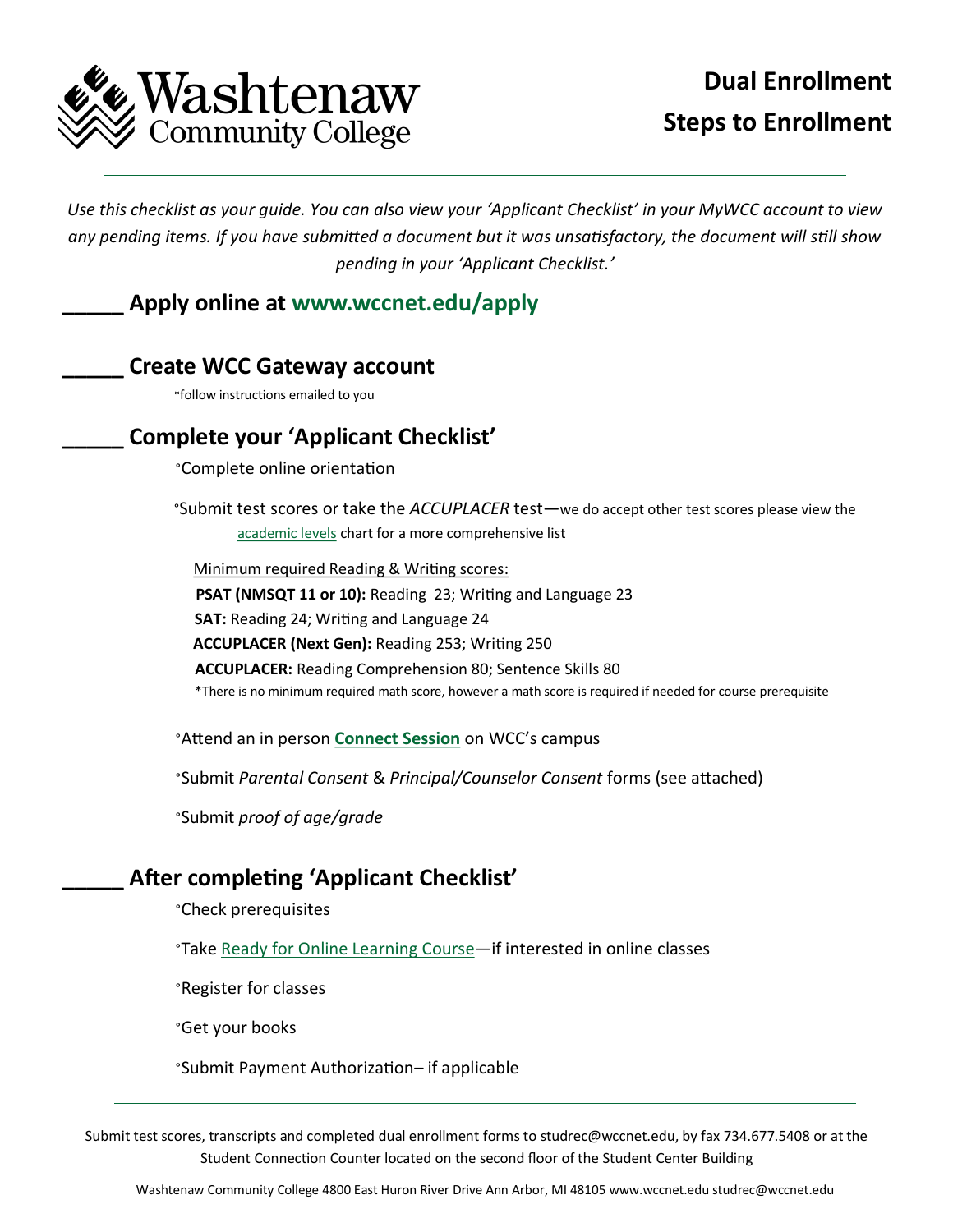

# **Dual Enrollment Steps to Enrollment**

*Use this checklist as your guide. You can also view your 'Applicant Checklist' in your MyWCC account to view any pending items. If you have submitted a document but it was unsatisfactory, the document will still show pending in your 'Applicant Checklist.'*

## **\_\_\_\_\_ Apply online at [www.wccnet.edu/apply](http://www.wccnet.edu/apply)**

## **\_\_\_\_\_ Create WCC Gateway account**

\*follow instructions emailed to you

## **\_\_\_\_\_ Complete your 'Applicant Checklist'**

°Complete online orientation

°Submit test scores or take the *ACCUPLACER* test—we do accept other test scores please view the [academic levels](https://www.wccnet.edu/start-now/entry-assessment/academic-levels.php) chart for a more comprehensive list

 Minimum required Reading & Writing scores: **PSAT (NMSQT 11 or 10):** Reading 23; Writing and Language 23 **SAT:** Reading 24; Writing and Language 24 **ACCUPLACER (Next Gen):** Reading 253; Writing 250 **ACCUPLACER:** Reading Comprehension 80; Sentence Skills 80 \*There is no minimum required math score, however a math score is required if needed for course prerequisite

°Attend an in person **[Connect Session](https://www.wccnet.edu/start-now/orientation/types/connect-session.php)** on WCC's campus

°Submit *Parental Consent* & *Principal/Counselor Consent* forms (see attached)

°Submit *proof of age/grade*

## **\_\_\_\_\_ After completing 'Applicant Checklist'**

°Check prerequisites

°Take [Ready for Online Learning Course—i](https://www.wccnet.edu/learn/class-types/online/roll.php)f interested in online classes

°Register for classes

°Get your books

°Submit Payment Authorization– if applicable

Submit test scores, transcripts and completed dual enrollment forms to studrec@wccnet.edu, by fax 734.677.5408 or at the Student Connection Counter located on the second floor of the Student Center Building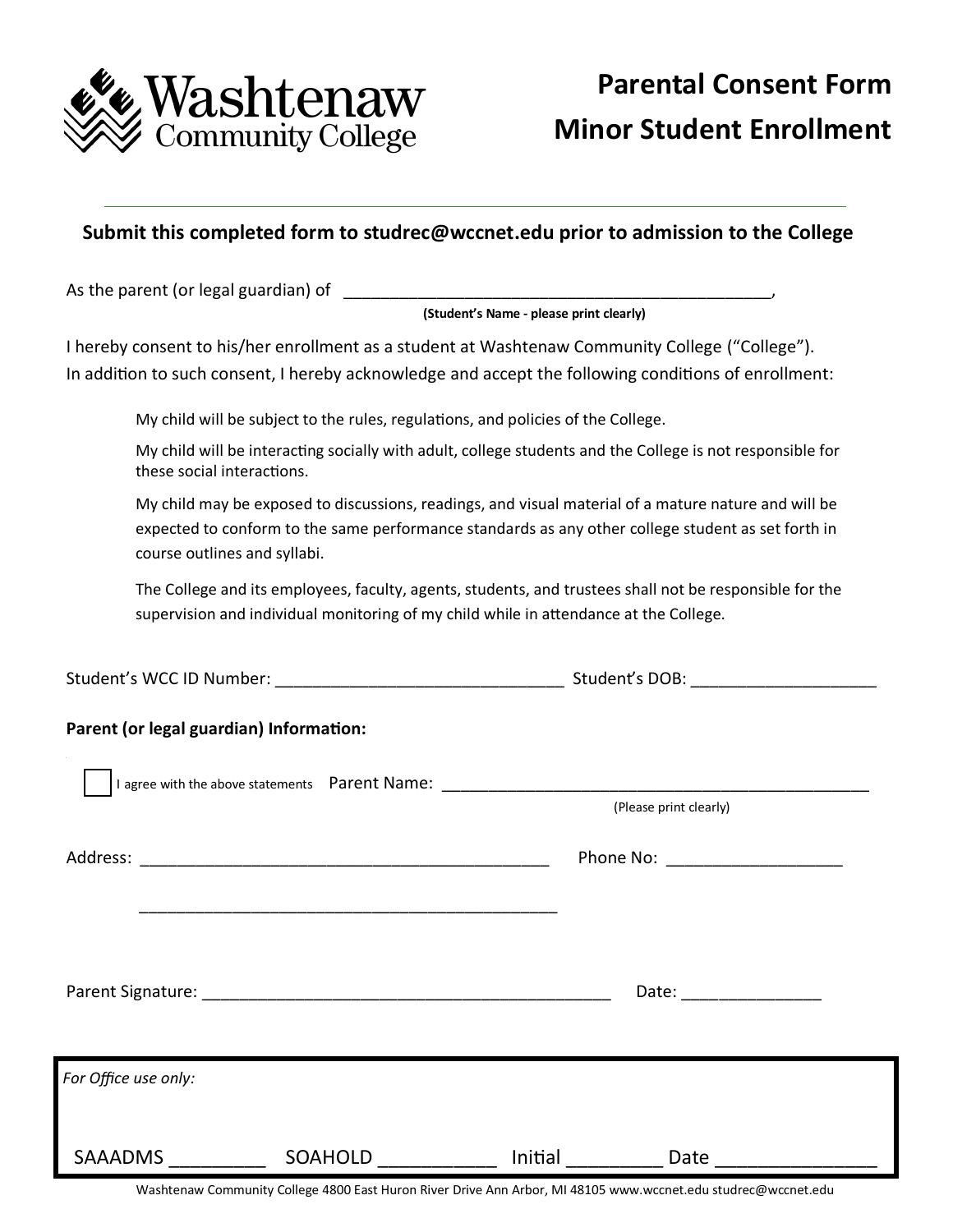

## **Submit this completed form to studrec@wccnet.edu prior to admission to the College**

As the parent (or legal guardian) of

#### **(Student's Name - please print clearly)**

I hereby consent to his/her enrollment as a student at Washtenaw Community College ("College"). In addition to such consent, I hereby acknowledge and accept the following conditions of enrollment:

My child will be subject to the rules, regulations, and policies of the College.

My child will be interacting socially with adult, college students and the College is not responsible for these social interactions.

My child may be exposed to discussions, readings, and visual material of a mature nature and will be expected to conform to the same performance standards as any other college student as set forth in course outlines and syllabi.

The College and its employees, faculty, agents, students, and trustees shall not be responsible for the supervision and individual monitoring of my child while in attendance at the College.

|  | Student's WCC ID Number: |  | Student's DOB: |  |
|--|--------------------------|--|----------------|--|
|--|--------------------------|--|----------------|--|

## **Parent (or legal guardian) Information:**

|                      |         |         | (Please print clearly)   |  |
|----------------------|---------|---------|--------------------------|--|
|                      |         |         |                          |  |
|                      |         |         | Date: __________________ |  |
| For Office use only: |         |         |                          |  |
| <b>SAAADMS</b>       | SOAHOLD | Initial | Date                     |  |

Washtenaw Community College 4800 East Huron River Drive Ann Arbor, MI 48105 www.wccnet.edu studrec@wccnet.edu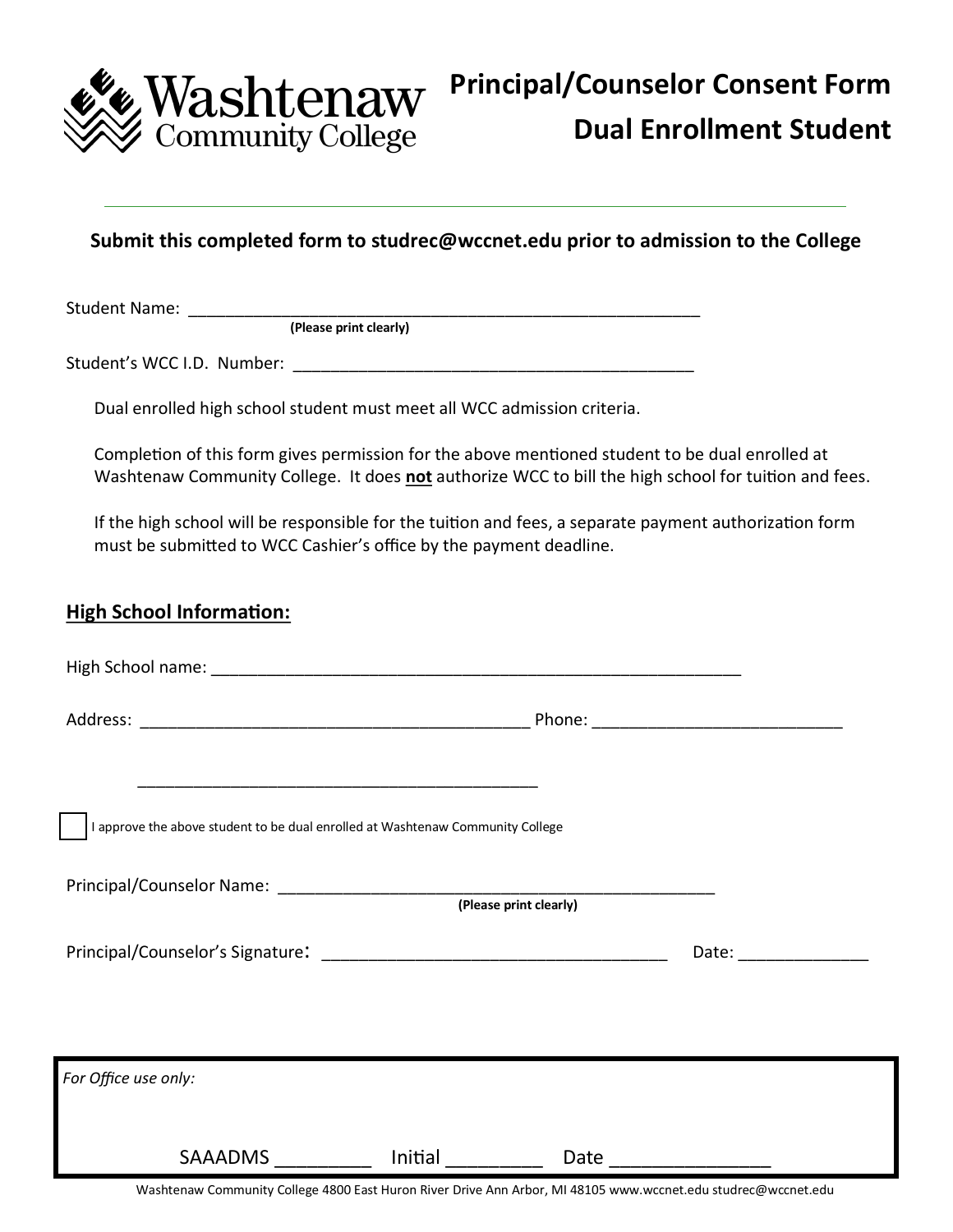

## **Submit this completed form to studrec@wccnet.edu prior to admission to the College**

Student Name:

**(Please print clearly)**

Student's WCC I.D. Number: **William Student**'s WCC I.D.

Dual enrolled high school student must meet all WCC admission criteria.

Completion of this form gives permission for the above mentioned student to be dual enrolled at Washtenaw Community College. It does **not** authorize WCC to bill the high school for tuition and fees.

If the high school will be responsible for the tuition and fees, a separate payment authorization form must be submitted to WCC Cashier's office by the payment deadline.

## **High School Information:**

| I approve the above student to be dual enrolled at Washtenaw Community College |                 |                        |                         |  |
|--------------------------------------------------------------------------------|-----------------|------------------------|-------------------------|--|
|                                                                                |                 | (Please print clearly) |                         |  |
|                                                                                |                 |                        | Date: ________________  |  |
| For Office use only:                                                           |                 |                        |                         |  |
|                                                                                |                 |                        |                         |  |
|                                                                                | SAAADMS Initial |                        | Date __________________ |  |

Washtenaw Community College 4800 East Huron River Drive Ann Arbor, MI 48105 www.wccnet.edu studrec@wccnet.edu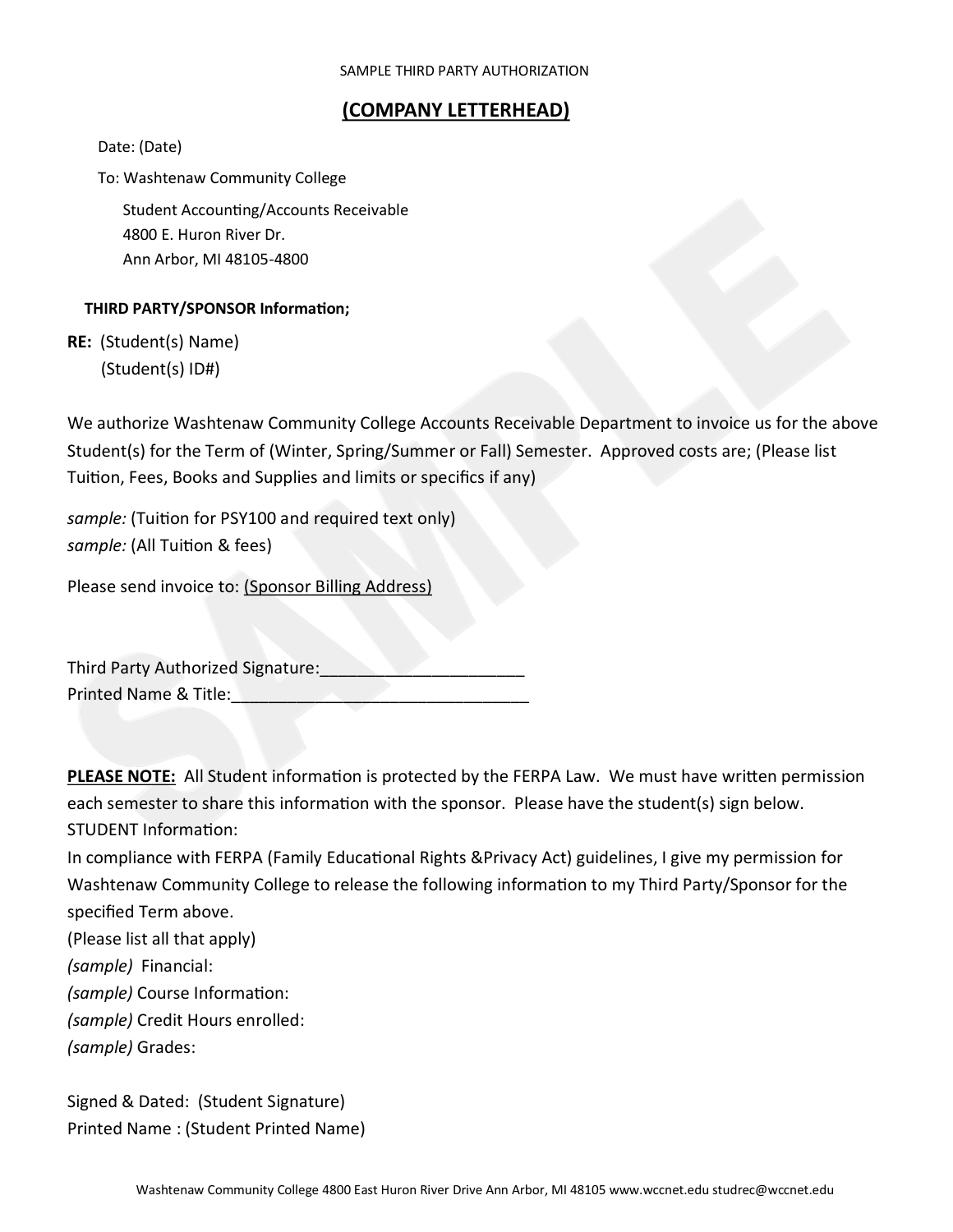## **(COMPANY LETTERHEAD)**

Date: (Date)

To: Washtenaw Community College

Student Accounting/Accounts Receivable 4800 E. Huron River Dr. Ann Arbor, MI 48105-4800

## **THIRD PARTY/SPONSOR Information;**

**RE:** (Student(s) Name) (Student(s) ID#)

We authorize Washtenaw Community College Accounts Receivable Department to invoice us for the above Student(s) for the Term of (Winter, Spring/Summer or Fall) Semester. Approved costs are; (Please list Tuition, Fees, Books and Supplies and limits or specifics if any)

*sample:* (Tuition for PSY100 and required text only) *sample:* (All Tuition & fees)

Please send invoice to: (Sponsor Billing Address)

| Third Party Authorized Signature: |  |
|-----------------------------------|--|
| Printed Name & Title:             |  |

**PLEASE NOTE:** All Student information is protected by the FERPA Law. We must have written permission each semester to share this information with the sponsor. Please have the student(s) sign below. STUDENT Information:

In compliance with FERPA (Family Educational Rights &Privacy Act) guidelines, I give my permission for Washtenaw Community College to release the following information to my Third Party/Sponsor for the specified Term above.

(Please list all that apply)

*(sample)* Financial:

*(sample)* Course Information:

*(sample)* Credit Hours enrolled:

*(sample)* Grades:

Signed & Dated: (Student Signature) Printed Name : (Student Printed Name)